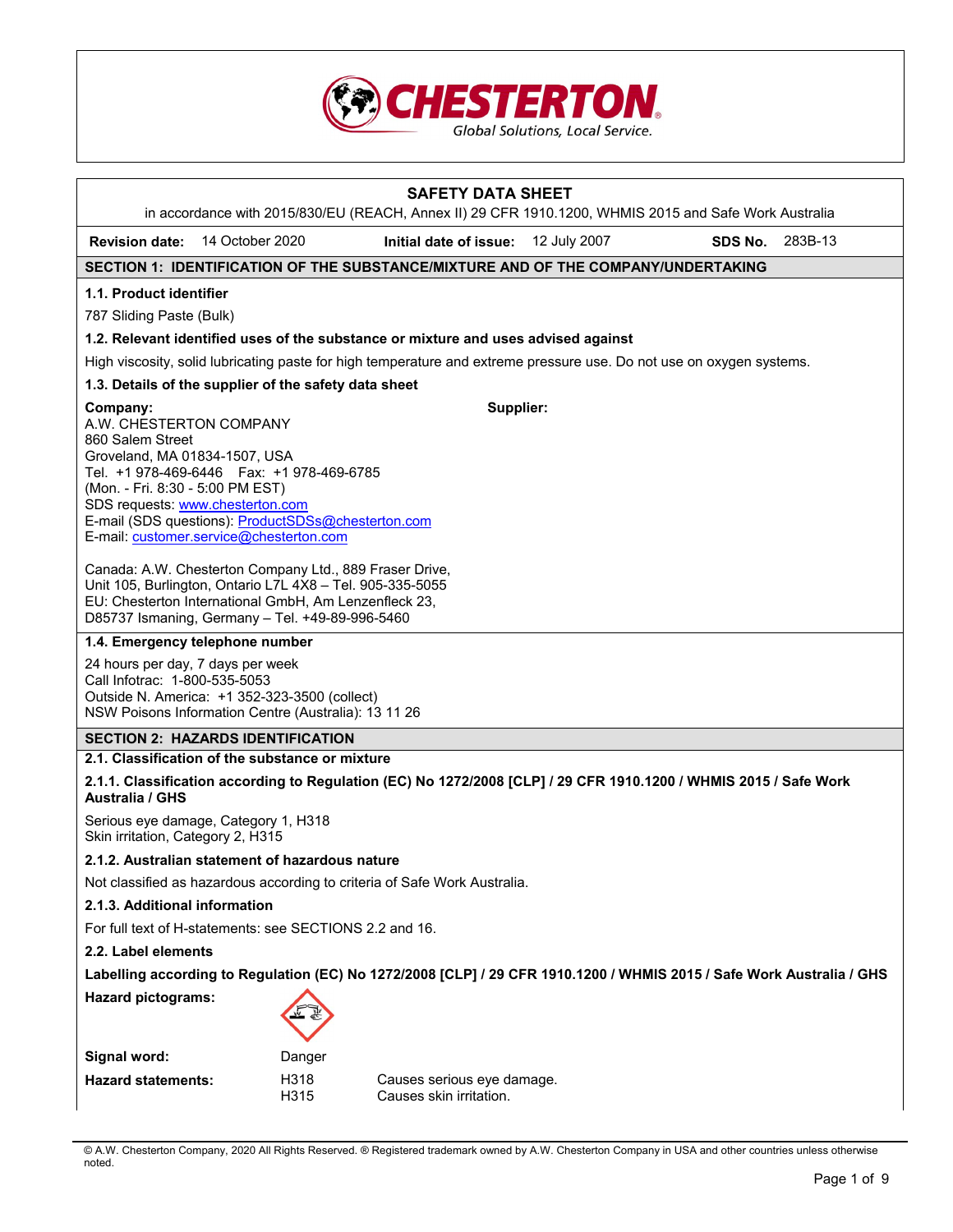

|                                                                                                                                                                  | <b>SAFETY DATA SHEET</b><br>in accordance with 2015/830/EU (REACH, Annex II) 29 CFR 1910.1200, WHMIS 2015 and Safe Work Australia                                                                                                |                                                                                                                      |              |         |         |  |  |
|------------------------------------------------------------------------------------------------------------------------------------------------------------------|----------------------------------------------------------------------------------------------------------------------------------------------------------------------------------------------------------------------------------|----------------------------------------------------------------------------------------------------------------------|--------------|---------|---------|--|--|
| <b>Revision date:</b>                                                                                                                                            | 14 October 2020                                                                                                                                                                                                                  | Initial date of issue:                                                                                               | 12 July 2007 | SDS No. | 283B-13 |  |  |
|                                                                                                                                                                  |                                                                                                                                                                                                                                  | SECTION 1: IDENTIFICATION OF THE SUBSTANCE/MIXTURE AND OF THE COMPANY/UNDERTAKING                                    |              |         |         |  |  |
| 1.1. Product identifier<br>787 Sliding Paste (Bulk)                                                                                                              |                                                                                                                                                                                                                                  |                                                                                                                      |              |         |         |  |  |
|                                                                                                                                                                  |                                                                                                                                                                                                                                  | 1.2. Relevant identified uses of the substance or mixture and uses advised against                                   |              |         |         |  |  |
|                                                                                                                                                                  |                                                                                                                                                                                                                                  | High viscosity, solid lubricating paste for high temperature and extreme pressure use. Do not use on oxygen systems. |              |         |         |  |  |
|                                                                                                                                                                  | 1.3. Details of the supplier of the safety data sheet                                                                                                                                                                            |                                                                                                                      |              |         |         |  |  |
| Company:<br>A.W. CHESTERTON COMPANY<br>860 Salem Street<br>Groveland, MA 01834-1507, USA<br>(Mon. - Fri. 8:30 - 5:00 PM EST)<br>SDS requests: www.chesterton.com | Tel. +1 978-469-6446    Fax: +1 978-469-6785<br>E-mail (SDS questions): ProductSDSs@chesterton.com<br>E-mail: customer.service@chesterton.com                                                                                    | Supplier:                                                                                                            |              |         |         |  |  |
|                                                                                                                                                                  | Canada: A.W. Chesterton Company Ltd., 889 Fraser Drive,<br>Unit 105, Burlington, Ontario L7L 4X8 - Tel. 905-335-5055<br>EU: Chesterton International GmbH, Am Lenzenfleck 23,<br>D85737 Ismaning, Germany - Tel. +49-89-996-5460 |                                                                                                                      |              |         |         |  |  |
|                                                                                                                                                                  | 1.4. Emergency telephone number                                                                                                                                                                                                  |                                                                                                                      |              |         |         |  |  |
|                                                                                                                                                                  | 24 hours per day, 7 days per week<br>Call Infotrac: 1-800-535-5053<br>Outside N. America: +1 352-323-3500 (collect)<br>NSW Poisons Information Centre (Australia): 13 11 26                                                      |                                                                                                                      |              |         |         |  |  |
|                                                                                                                                                                  | <b>SECTION 2: HAZARDS IDENTIFICATION</b>                                                                                                                                                                                         |                                                                                                                      |              |         |         |  |  |
|                                                                                                                                                                  | 2.1. Classification of the substance or mixture                                                                                                                                                                                  |                                                                                                                      |              |         |         |  |  |
| <b>Australia / GHS</b>                                                                                                                                           |                                                                                                                                                                                                                                  | 2.1.1. Classification according to Regulation (EC) No 1272/2008 [CLP] / 29 CFR 1910.1200 / WHMIS 2015 / Safe Work    |              |         |         |  |  |
| Skin irritation, Category 2, H315                                                                                                                                | Serious eye damage, Category 1, H318                                                                                                                                                                                             |                                                                                                                      |              |         |         |  |  |
|                                                                                                                                                                  | 2.1.2. Australian statement of hazardous nature                                                                                                                                                                                  |                                                                                                                      |              |         |         |  |  |
|                                                                                                                                                                  |                                                                                                                                                                                                                                  | Not classified as hazardous according to criteria of Safe Work Australia.                                            |              |         |         |  |  |
| 2.1.3. Additional information                                                                                                                                    |                                                                                                                                                                                                                                  |                                                                                                                      |              |         |         |  |  |
| For full text of H-statements: see SECTIONS 2.2 and 16.                                                                                                          |                                                                                                                                                                                                                                  |                                                                                                                      |              |         |         |  |  |
| 2.2. Label elements                                                                                                                                              |                                                                                                                                                                                                                                  |                                                                                                                      |              |         |         |  |  |
|                                                                                                                                                                  | Labelling according to Regulation (EC) No 1272/2008 [CLP] / 29 CFR 1910.1200 / WHMIS 2015 / Safe Work Australia / GHS                                                                                                            |                                                                                                                      |              |         |         |  |  |
| <b>Hazard pictograms:</b>                                                                                                                                        |                                                                                                                                                                                                                                  |                                                                                                                      |              |         |         |  |  |
| Signal word:                                                                                                                                                     | Danger                                                                                                                                                                                                                           |                                                                                                                      |              |         |         |  |  |
| <b>Hazard statements:</b>                                                                                                                                        | H318<br>H315                                                                                                                                                                                                                     | Causes serious eye damage.<br>Causes skin irritation.                                                                |              |         |         |  |  |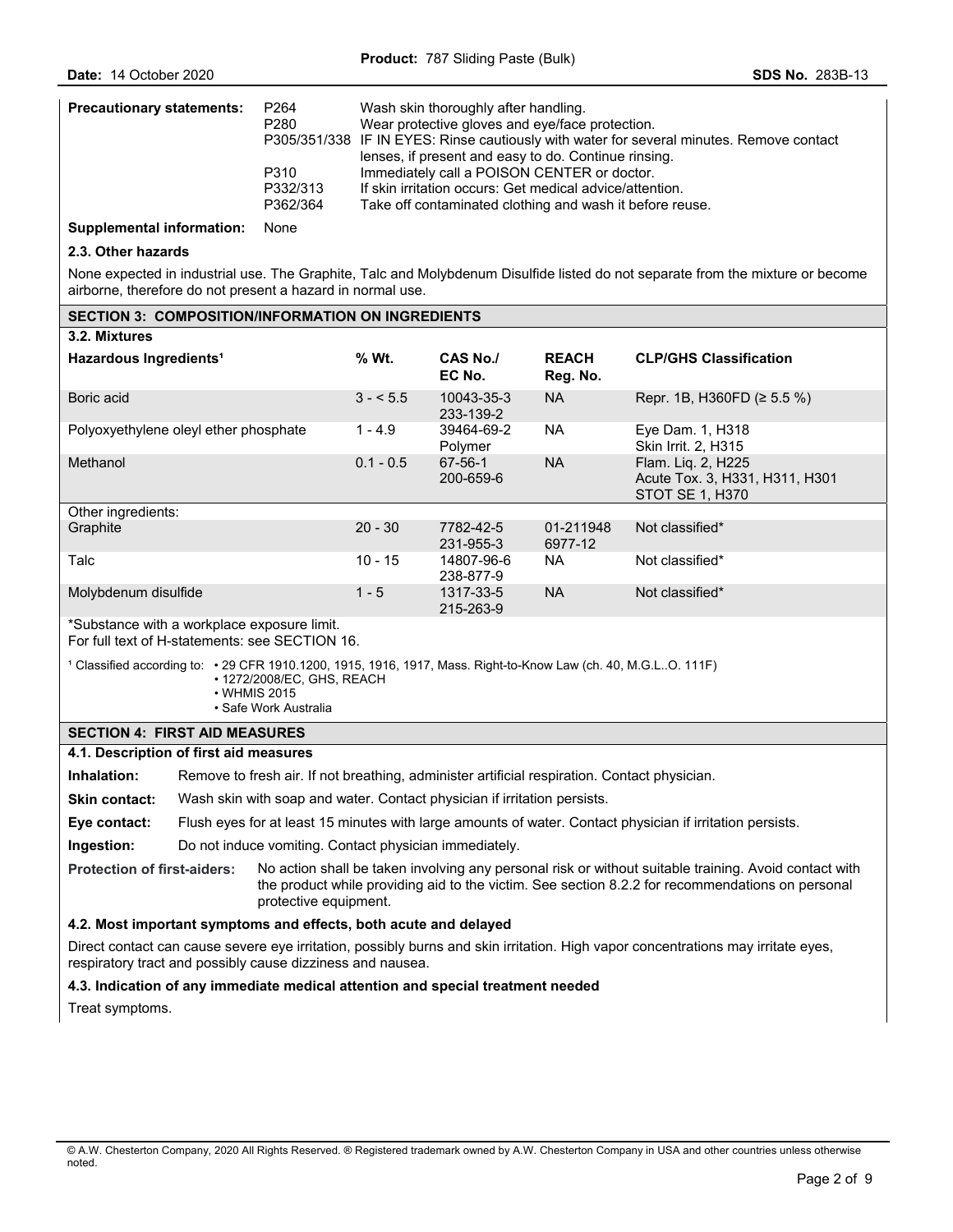| <b>Precautionary statements:</b> | P <sub>264</sub><br>P280<br>P310<br>P332/313<br>P362/364 | Wash skin thoroughly after handling.<br>Wear protective gloves and eye/face protection.<br>P305/351/338 IF IN EYES: Rinse cautiously with water for several minutes. Remove contact<br>lenses, if present and easy to do. Continue rinsing.<br>Immediately call a POISON CENTER or doctor.<br>If skin irritation occurs: Get medical advice/attention.<br>Take off contaminated clothing and wash it before reuse. |
|----------------------------------|----------------------------------------------------------|--------------------------------------------------------------------------------------------------------------------------------------------------------------------------------------------------------------------------------------------------------------------------------------------------------------------------------------------------------------------------------------------------------------------|
|                                  |                                                          |                                                                                                                                                                                                                                                                                                                                                                                                                    |

**Supplemental information:** None

**SECTION 3: COMPOSITION/INFORMATION ON INGREDIENTS** 

#### **2.3. Other hazards**

None expected in industrial use. The Graphite, Talc and Molybdenum Disulfide listed do not separate from the mixture or become airborne, therefore do not present a hazard in normal use.

|                                                                                                                                                                                        | <u>JEVITUN J.  VUNIFUJITIUNINI UNNATIUN UN INGNEDIENTJ</u>                                                |             |                         |                          |                                                                                |  |
|----------------------------------------------------------------------------------------------------------------------------------------------------------------------------------------|-----------------------------------------------------------------------------------------------------------|-------------|-------------------------|--------------------------|--------------------------------------------------------------------------------|--|
| 3.2. Mixtures                                                                                                                                                                          |                                                                                                           |             |                         |                          |                                                                                |  |
| Hazardous Ingredients <sup>1</sup>                                                                                                                                                     |                                                                                                           | % Wt.       | CAS No./<br>EC No.      | <b>REACH</b><br>Reg. No. | <b>CLP/GHS Classification</b>                                                  |  |
| Boric acid                                                                                                                                                                             |                                                                                                           | $3 - 5.5$   | 10043-35-3<br>233-139-2 | <b>NA</b>                | Repr. 1B, H360FD ( $\geq$ 5.5 %)                                               |  |
|                                                                                                                                                                                        | Polyoxyethylene oleyl ether phosphate                                                                     | $1 - 4.9$   | 39464-69-2<br>Polymer   | <b>NA</b>                | Eye Dam. 1, H318<br><b>Skin Irrit. 2, H315</b>                                 |  |
| Methanol                                                                                                                                                                               |                                                                                                           | $0.1 - 0.5$ | 67-56-1<br>200-659-6    | <b>NA</b>                | Flam. Lig. 2, H225<br>Acute Tox. 3, H331, H311, H301<br><b>STOT SE 1, H370</b> |  |
| Other ingredients:                                                                                                                                                                     |                                                                                                           |             |                         |                          |                                                                                |  |
| Graphite                                                                                                                                                                               |                                                                                                           | $20 - 30$   | 7782-42-5<br>231-955-3  | 01-211948<br>6977-12     | Not classified*                                                                |  |
| Talc                                                                                                                                                                                   |                                                                                                           | $10 - 15$   | 14807-96-6<br>238-877-9 | <b>NA</b>                | Not classified*                                                                |  |
| Molybdenum disulfide                                                                                                                                                                   |                                                                                                           | $1 - 5$     | 1317-33-5<br>215-263-9  | <b>NA</b>                | Not classified*                                                                |  |
|                                                                                                                                                                                        | *Substance with a workplace exposure limit.<br>For full text of H-statements: see SECTION 16.             |             |                         |                          |                                                                                |  |
| 1 Classified according to: • 29 CFR 1910.1200, 1915, 1916, 1917, Mass. Right-to-Know Law (ch. 40, M.G.LO. 111F)<br>• 1272/2008/EC, GHS, REACH<br>• WHMIS 2015<br>• Safe Work Australia |                                                                                                           |             |                         |                          |                                                                                |  |
|                                                                                                                                                                                        | <b>SECTION 4: FIRST AID MEASURES</b>                                                                      |             |                         |                          |                                                                                |  |
|                                                                                                                                                                                        | 4.1. Description of first aid measures                                                                    |             |                         |                          |                                                                                |  |
| Inhalation:                                                                                                                                                                            | Remove to fresh air. If not breathing, administer artificial respiration. Contact physician.              |             |                         |                          |                                                                                |  |
| <b>Skin contact:</b>                                                                                                                                                                   | Wash skin with soap and water. Contact physician if irritation persists.                                  |             |                         |                          |                                                                                |  |
| Eye contact:                                                                                                                                                                           | Flush eyes for at least 15 minutes with large amounts of water. Contact physician if irritation persists. |             |                         |                          |                                                                                |  |
| Ingestion:                                                                                                                                                                             | Do not induce vomiting. Contact physician immediately.                                                    |             |                         |                          |                                                                                |  |

**Protection of first-aiders:** No action shall be taken involving any personal risk or without suitable training. Avoid contact with the product while providing aid to the victim. See section 8.2.2 for recommendations on personal protective equipment.

#### **4.2. Most important symptoms and effects, both acute and delayed**

Direct contact can cause severe eye irritation, possibly burns and skin irritation. High vapor concentrations may irritate eyes, respiratory tract and possibly cause dizziness and nausea.

### **4.3. Indication of any immediate medical attention and special treatment needed**

Treat symptoms.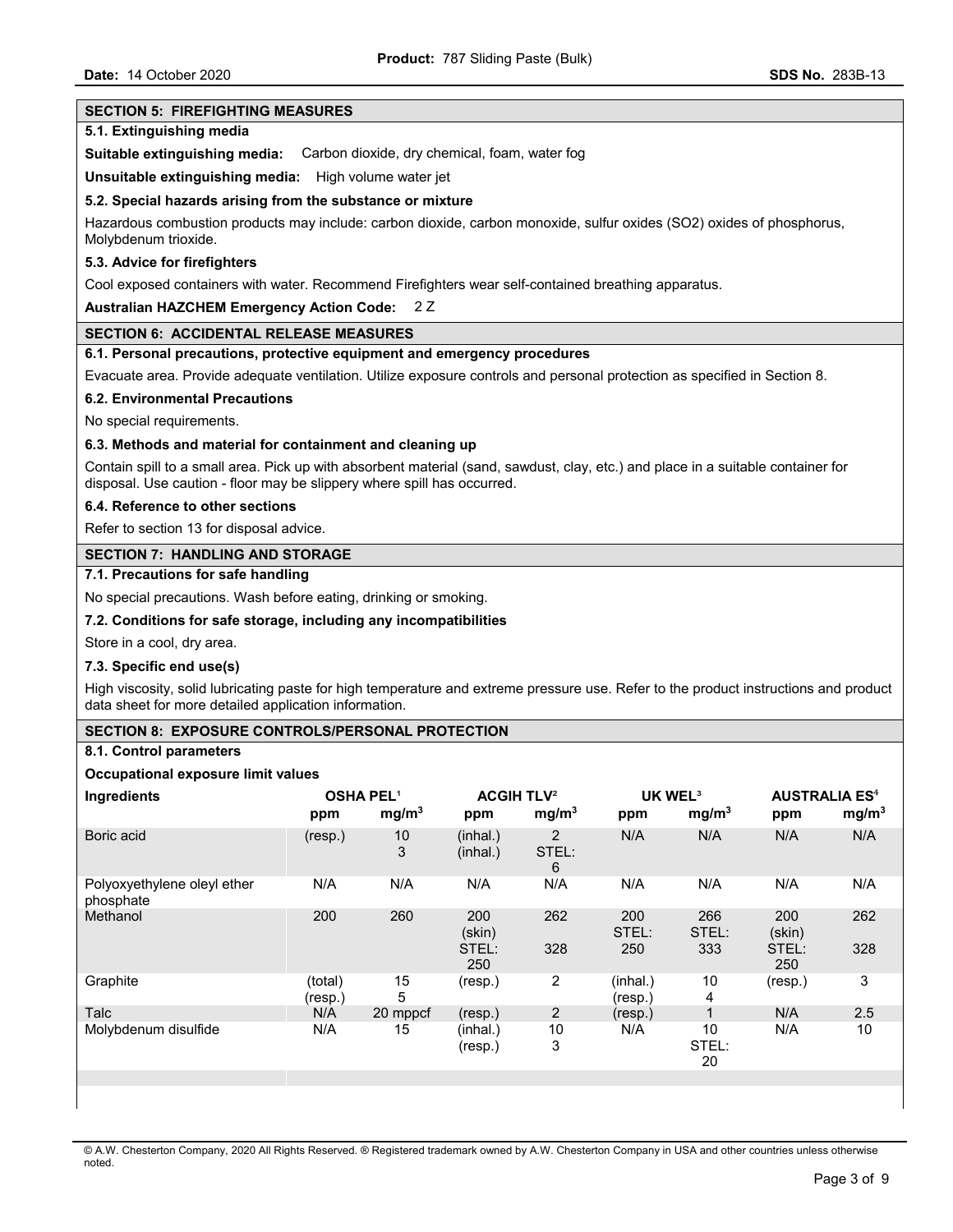### **SECTION 5: FIREFIGHTING MEASURES**

#### **5.1. Extinguishing media**

**Suitable extinguishing media:** Carbon dioxide, dry chemical, foam, water fog

**Unsuitable extinguishing media:** High volume water jet

#### **5.2. Special hazards arising from the substance or mixture**

Hazardous combustion products may include: carbon dioxide, carbon monoxide, sulfur oxides (SO2) oxides of phosphorus, Molybdenum trioxide.

### **5.3. Advice for firefighters**

Cool exposed containers with water. Recommend Firefighters wear self-contained breathing apparatus.

# **Australian HAZCHEM Emergency Action Code:** 2 Z

# **SECTION 6: ACCIDENTAL RELEASE MEASURES**

### **6.1. Personal precautions, protective equipment and emergency procedures**

Evacuate area. Provide adequate ventilation. Utilize exposure controls and personal protection as specified in Section 8.

#### **6.2. Environmental Precautions**

No special requirements.

# **6.3. Methods and material for containment and cleaning up**

Contain spill to a small area. Pick up with absorbent material (sand, sawdust, clay, etc.) and place in a suitable container for disposal. Use caution - floor may be slippery where spill has occurred.

# **6.4. Reference to other sections**

Refer to section 13 for disposal advice.

# **SECTION 7: HANDLING AND STORAGE**

# **7.1. Precautions for safe handling**

No special precautions. Wash before eating, drinking or smoking.

# **7.2. Conditions for safe storage, including any incompatibilities**

Store in a cool, dry area.

#### **7.3. Specific end use(s)**

High viscosity, solid lubricating paste for high temperature and extreme pressure use. Refer to the product instructions and product data sheet for more detailed application information.

#### **SECTION 8: EXPOSURE CONTROLS/PERSONAL PROTECTION**

# **8.1. Control parameters**

#### **Occupational exposure limit values**

| Ingredients                              | <b>OSHA PEL1</b><br>ppm | mg/m <sup>3</sup> | <b>ACGIH TLV<sup>2</sup></b><br>ppm | mg/m <sup>3</sup> | <b>UK WEL<sup>3</sup></b><br>ppm | mg/m <sup>3</sup>   | <b>AUSTRALIA ES<sup>4</sup></b><br>ppm | mg/m <sup>3</sup> |
|------------------------------------------|-------------------------|-------------------|-------------------------------------|-------------------|----------------------------------|---------------------|----------------------------------------|-------------------|
| Boric acid                               | (resp.)                 | 10<br>3           | (inhal.)<br>(inhal.)                | 2<br>STEL:<br>6   | N/A                              | N/A                 | N/A                                    | N/A               |
| Polyoxyethylene oleyl ether<br>phosphate | N/A                     | N/A               | N/A                                 | N/A               | N/A                              | N/A                 | N/A                                    | N/A               |
| Methanol                                 | 200                     | 260               | 200<br>(skin)<br>STEL:<br>250       | 262<br>328        | 200<br>STEL:<br>250              | 266<br>STEL:<br>333 | 200<br>(skin)<br>STEL:<br>250          | 262<br>328        |
| Graphite                                 | (total)<br>(resp.)      | 15<br>5           | (resp.)                             | $\overline{c}$    | (inhal.)<br>(resp.)              | 10<br>4             | (resp.)                                | 3                 |
| Talc                                     | N/A                     | 20 mppcf          | (resp.)                             | $\overline{2}$    | (resp.)                          |                     | N/A                                    | 2.5               |
| Molybdenum disulfide                     | N/A                     | 15                | (inhal.)<br>(resp.)                 | 10<br>3           | N/A                              | 10<br>STEL:<br>20   | N/A                                    | 10                |
|                                          |                         |                   |                                     |                   |                                  |                     |                                        |                   |
|                                          |                         |                   |                                     |                   |                                  |                     |                                        |                   |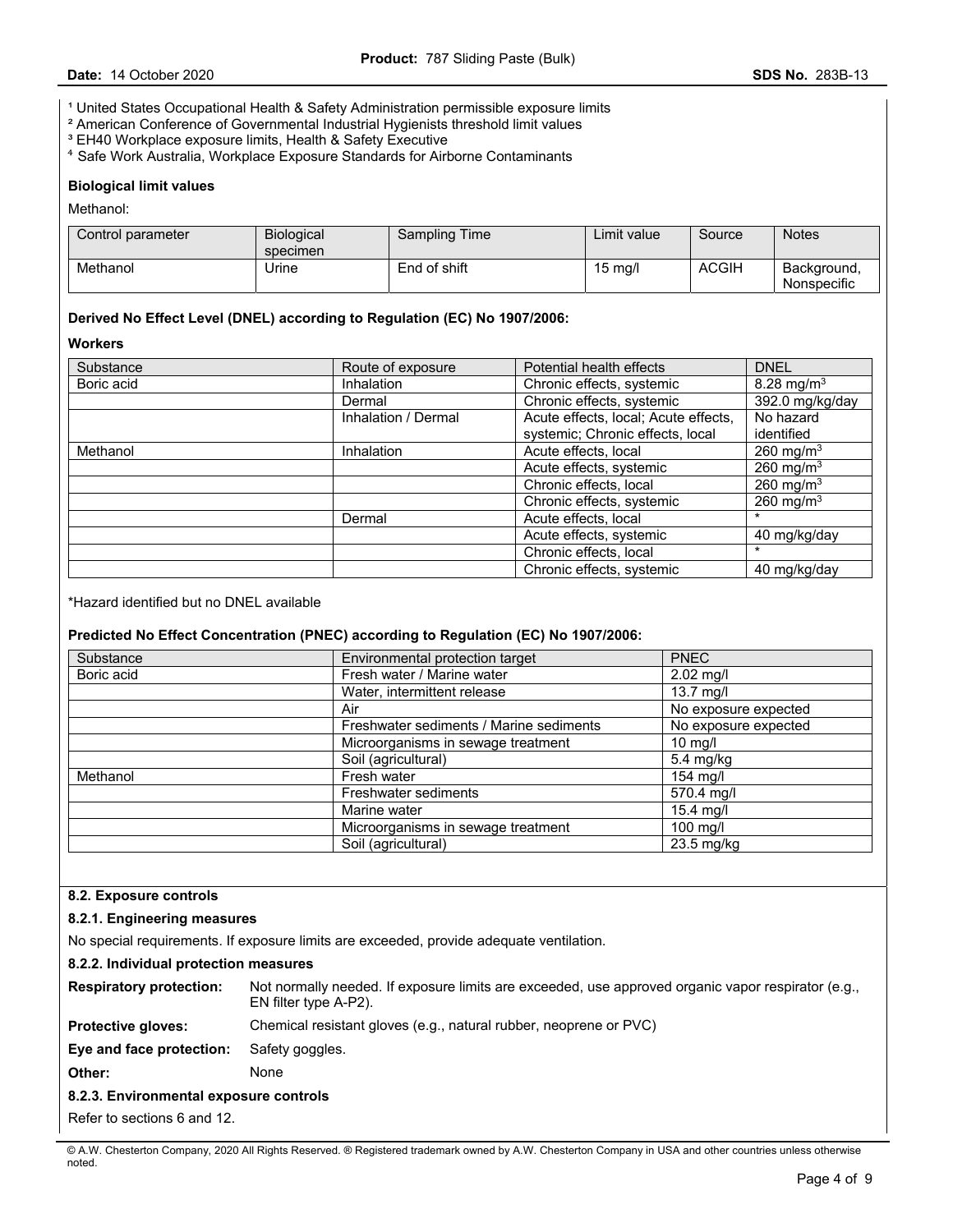<sup>1</sup> United States Occupational Health & Safety Administration permissible exposure limits

- ² American Conference of Governmental Industrial Hygienists threshold limit values
- <sup>3</sup> EH40 Workplace exposure limits, Health & Safety Executive
- ⁴ Safe Work Australia, Workplace Exposure Standards for Airborne Contaminants

#### **Biological limit values**

Methanol:

| Control parameter | <b>Biological</b><br>specimen | <b>Sampling Time</b> | Limit value.      | Source | <b>Notes</b>               |
|-------------------|-------------------------------|----------------------|-------------------|--------|----------------------------|
| Methanol          | Jrine                         | End of shift         | $15 \text{ mg/l}$ | ACGIH  | Background.<br>Nonspecific |

### **Derived No Effect Level (DNEL) according to Regulation (EC) No 1907/2006:**

# **Workers**

| Substance  | Route of exposure   | Potential health effects                            | <b>DNEL</b>           |
|------------|---------------------|-----------------------------------------------------|-----------------------|
| Boric acid | Inhalation          | 8.28 mg/m <sup>3</sup><br>Chronic effects, systemic |                       |
|            | Dermal              | Chronic effects, systemic                           | 392.0 mg/kg/day       |
|            | Inhalation / Dermal | Acute effects, local; Acute effects,                | No hazard             |
|            |                     | systemic; Chronic effects, local                    | identified            |
| Methanol   | Inhalation          | Acute effects, local                                | 260 mg/m <sup>3</sup> |
|            |                     | Acute effects, systemic                             | 260 mg/m <sup>3</sup> |
|            |                     | Chronic effects, local                              | 260 mg/m $3$          |
|            |                     | Chronic effects, systemic                           | 260 mg/m $3$          |
|            | Dermal              | Acute effects, local                                | *                     |
|            |                     | Acute effects, systemic                             | 40 mg/kg/day          |
|            |                     | Chronic effects, local                              | $\ast$                |
|            |                     | Chronic effects, systemic                           | 40 mg/kg/day          |

\*Hazard identified but no DNEL available

# **Predicted No Effect Concentration (PNEC) according to Regulation (EC) No 1907/2006:**

| Substance  | Environmental protection target         | <b>PNEC</b>          |
|------------|-----------------------------------------|----------------------|
| Boric acid | Fresh water / Marine water              | 2.02 mg/l            |
|            | Water, intermittent release             | $13.7$ mg/l          |
|            | Air                                     | No exposure expected |
|            | Freshwater sediments / Marine sediments | No exposure expected |
|            | Microorganisms in sewage treatment      | $10$ mg/l            |
|            | Soil (agricultural)                     | 5.4 mg/kg            |
| Methanol   | Fresh water                             | $154$ mg/l           |
|            | Freshwater sediments                    | 570.4 mg/l           |
|            | Marine water                            | $15.4$ mg/l          |
|            | Microorganisms in sewage treatment      | $100$ mg/l           |
|            | Soil (agricultural)                     | 23.5 mg/kg           |

# **8.2. Exposure controls**

# **8.2.1. Engineering measures**

No special requirements. If exposure limits are exceeded, provide adequate ventilation.

#### **8.2.2. Individual protection measures**

| <b>Respiratory protection:</b>         | Not normally needed. If exposure limits are exceeded, use approved organic vapor respirator (e.g.,<br>EN filter type A-P2). |
|----------------------------------------|-----------------------------------------------------------------------------------------------------------------------------|
| <b>Protective gloves:</b>              | Chemical resistant gloves (e.g., natural rubber, neoprene or PVC)                                                           |
| Eye and face protection:               | Safety goggles.                                                                                                             |
| Other:                                 | None                                                                                                                        |
| 8.2.3. Environmental exposure controls |                                                                                                                             |
|                                        |                                                                                                                             |

Refer to sections 6 and 12.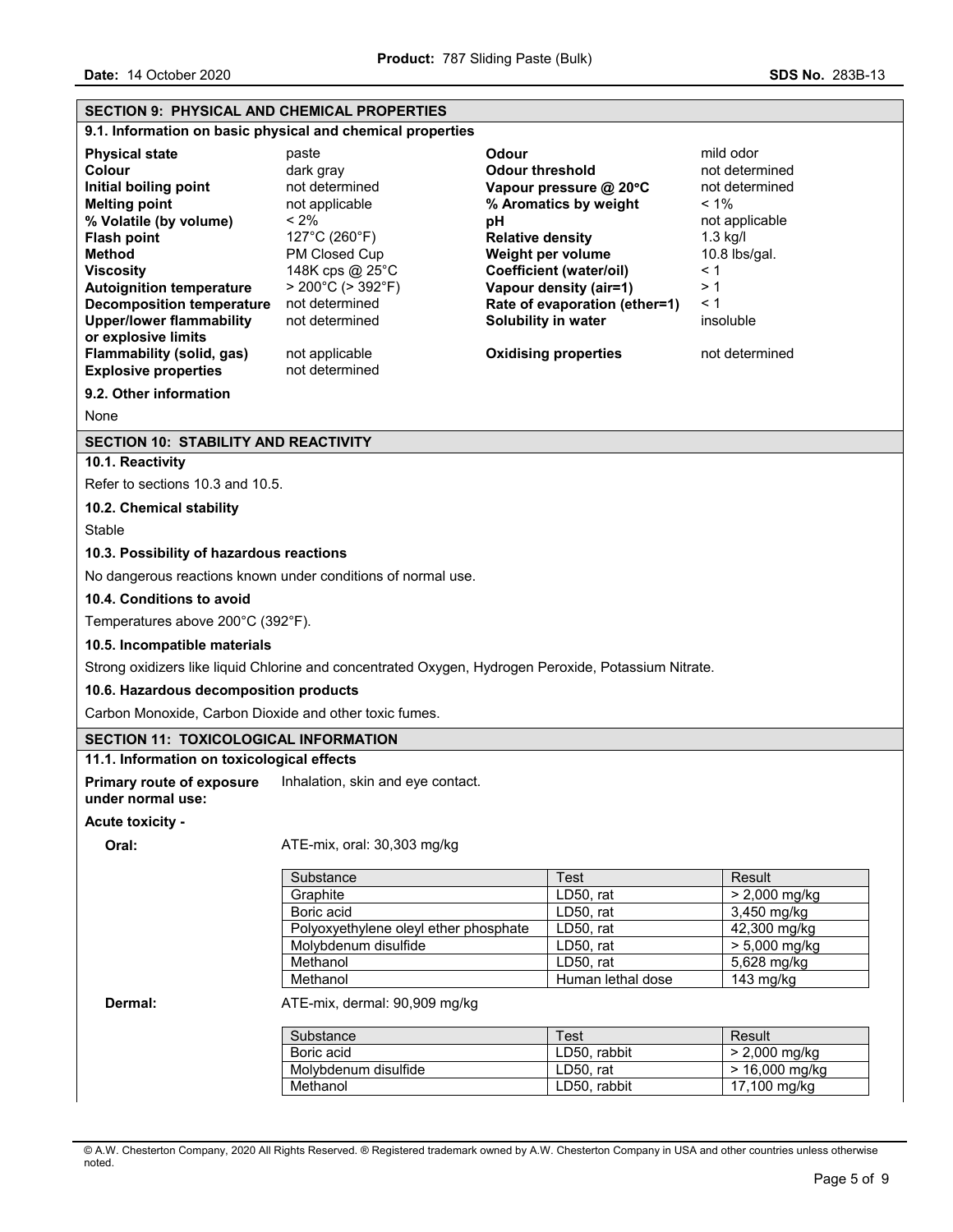| <b>SECTION 9: PHYSICAL AND CHEMICAL PROPERTIES</b>                                                                                                                                                                                                                                                                                                                 |                                                                                                                                                                                                                                          |                                                                                                                                                                                                                                                                                      |                                                                                                                                                                       |
|--------------------------------------------------------------------------------------------------------------------------------------------------------------------------------------------------------------------------------------------------------------------------------------------------------------------------------------------------------------------|------------------------------------------------------------------------------------------------------------------------------------------------------------------------------------------------------------------------------------------|--------------------------------------------------------------------------------------------------------------------------------------------------------------------------------------------------------------------------------------------------------------------------------------|-----------------------------------------------------------------------------------------------------------------------------------------------------------------------|
|                                                                                                                                                                                                                                                                                                                                                                    | 9.1. Information on basic physical and chemical properties                                                                                                                                                                               |                                                                                                                                                                                                                                                                                      |                                                                                                                                                                       |
| <b>Physical state</b><br>Colour<br>Initial boiling point<br><b>Melting point</b><br>% Volatile (by volume)<br><b>Flash point</b><br><b>Method</b><br><b>Viscosity</b><br><b>Autoignition temperature</b><br><b>Decomposition temperature</b><br><b>Upper/lower flammability</b><br>or explosive limits<br>Flammability (solid, gas)<br><b>Explosive properties</b> | paste<br>dark gray<br>not determined<br>not applicable<br>$< 2\%$<br>127°C (260°F)<br>PM Closed Cup<br>148K cps @ 25°C<br>$> 200^{\circ}$ C ( $> 392^{\circ}$ F)<br>not determined<br>not determined<br>not applicable<br>not determined | Odour<br><b>Odour threshold</b><br>Vapour pressure @ 20°C<br>% Aromatics by weight<br>рH<br><b>Relative density</b><br>Weight per volume<br>Coefficient (water/oil)<br>Vapour density (air=1)<br>Rate of evaporation (ether=1)<br>Solubility in water<br><b>Oxidising properties</b> | mild odor<br>not determined<br>not determined<br>$< 1\%$<br>not applicable<br>$1.3$ kg/l<br>10.8 $\frac{1}{9}$ al.<br>< 1<br>>1<br>< 1<br>insoluble<br>not determined |
| 9.2. Other information                                                                                                                                                                                                                                                                                                                                             |                                                                                                                                                                                                                                          |                                                                                                                                                                                                                                                                                      |                                                                                                                                                                       |
| None                                                                                                                                                                                                                                                                                                                                                               |                                                                                                                                                                                                                                          |                                                                                                                                                                                                                                                                                      |                                                                                                                                                                       |
| <b>SECTION 10: STABILITY AND REACTIVITY</b><br>10.1. Reactivity                                                                                                                                                                                                                                                                                                    |                                                                                                                                                                                                                                          |                                                                                                                                                                                                                                                                                      |                                                                                                                                                                       |
| Refer to sections 10.3 and 10.5.                                                                                                                                                                                                                                                                                                                                   |                                                                                                                                                                                                                                          |                                                                                                                                                                                                                                                                                      |                                                                                                                                                                       |
| 10.2. Chemical stability                                                                                                                                                                                                                                                                                                                                           |                                                                                                                                                                                                                                          |                                                                                                                                                                                                                                                                                      |                                                                                                                                                                       |
| Stable                                                                                                                                                                                                                                                                                                                                                             |                                                                                                                                                                                                                                          |                                                                                                                                                                                                                                                                                      |                                                                                                                                                                       |
| 10.3. Possibility of hazardous reactions                                                                                                                                                                                                                                                                                                                           |                                                                                                                                                                                                                                          |                                                                                                                                                                                                                                                                                      |                                                                                                                                                                       |
|                                                                                                                                                                                                                                                                                                                                                                    | No dangerous reactions known under conditions of normal use.                                                                                                                                                                             |                                                                                                                                                                                                                                                                                      |                                                                                                                                                                       |
| 10.4. Conditions to avoid                                                                                                                                                                                                                                                                                                                                          |                                                                                                                                                                                                                                          |                                                                                                                                                                                                                                                                                      |                                                                                                                                                                       |
| Temperatures above 200°C (392°F).                                                                                                                                                                                                                                                                                                                                  |                                                                                                                                                                                                                                          |                                                                                                                                                                                                                                                                                      |                                                                                                                                                                       |
| 10.5. Incompatible materials                                                                                                                                                                                                                                                                                                                                       |                                                                                                                                                                                                                                          |                                                                                                                                                                                                                                                                                      |                                                                                                                                                                       |
|                                                                                                                                                                                                                                                                                                                                                                    | Strong oxidizers like liquid Chlorine and concentrated Oxygen, Hydrogen Peroxide, Potassium Nitrate.                                                                                                                                     |                                                                                                                                                                                                                                                                                      |                                                                                                                                                                       |
| 10.6. Hazardous decomposition products                                                                                                                                                                                                                                                                                                                             |                                                                                                                                                                                                                                          |                                                                                                                                                                                                                                                                                      |                                                                                                                                                                       |
| Carbon Monoxide, Carbon Dioxide and other toxic fumes.                                                                                                                                                                                                                                                                                                             |                                                                                                                                                                                                                                          |                                                                                                                                                                                                                                                                                      |                                                                                                                                                                       |
| <b>SECTION 11: TOXICOLOGICAL INFORMATION</b>                                                                                                                                                                                                                                                                                                                       |                                                                                                                                                                                                                                          |                                                                                                                                                                                                                                                                                      |                                                                                                                                                                       |
| 11.1. Information on toxicological effects                                                                                                                                                                                                                                                                                                                         |                                                                                                                                                                                                                                          |                                                                                                                                                                                                                                                                                      |                                                                                                                                                                       |
| Primary route of exposure<br>under normal use:                                                                                                                                                                                                                                                                                                                     | Inhalation, skin and eye contact.                                                                                                                                                                                                        |                                                                                                                                                                                                                                                                                      |                                                                                                                                                                       |
| <b>Acute toxicity -</b>                                                                                                                                                                                                                                                                                                                                            |                                                                                                                                                                                                                                          |                                                                                                                                                                                                                                                                                      |                                                                                                                                                                       |
| Oral:                                                                                                                                                                                                                                                                                                                                                              | ATE-mix, oral: 30,303 mg/kg                                                                                                                                                                                                              |                                                                                                                                                                                                                                                                                      |                                                                                                                                                                       |
|                                                                                                                                                                                                                                                                                                                                                                    | Substance                                                                                                                                                                                                                                | Test                                                                                                                                                                                                                                                                                 | Result                                                                                                                                                                |
|                                                                                                                                                                                                                                                                                                                                                                    | Graphite                                                                                                                                                                                                                                 | LD50, rat                                                                                                                                                                                                                                                                            | > 2,000 mg/kg                                                                                                                                                         |
|                                                                                                                                                                                                                                                                                                                                                                    | Boric acid                                                                                                                                                                                                                               | LD50, rat                                                                                                                                                                                                                                                                            | 3,450 mg/kg                                                                                                                                                           |
|                                                                                                                                                                                                                                                                                                                                                                    | Polyoxyethylene oleyl ether phosphate<br>Molybdenum disulfide                                                                                                                                                                            | LD50, rat<br>LD50, rat                                                                                                                                                                                                                                                               | 42,300 mg/kg<br>> 5,000 mg/kg                                                                                                                                         |
|                                                                                                                                                                                                                                                                                                                                                                    | Methanol                                                                                                                                                                                                                                 | LD50, rat                                                                                                                                                                                                                                                                            | 5,628 mg/kg                                                                                                                                                           |
|                                                                                                                                                                                                                                                                                                                                                                    | Methanol                                                                                                                                                                                                                                 | Human lethal dose                                                                                                                                                                                                                                                                    | 143 mg/kg                                                                                                                                                             |
| Dermal:                                                                                                                                                                                                                                                                                                                                                            | ATE-mix, dermal: 90,909 mg/kg                                                                                                                                                                                                            |                                                                                                                                                                                                                                                                                      |                                                                                                                                                                       |
|                                                                                                                                                                                                                                                                                                                                                                    | Substance                                                                                                                                                                                                                                | Test                                                                                                                                                                                                                                                                                 | Result                                                                                                                                                                |
|                                                                                                                                                                                                                                                                                                                                                                    | Boric acid                                                                                                                                                                                                                               | LD50, rabbit                                                                                                                                                                                                                                                                         | > 2,000 mg/kg                                                                                                                                                         |
|                                                                                                                                                                                                                                                                                                                                                                    | Molybdenum disulfide<br>Methanol                                                                                                                                                                                                         | LD50, rat<br>LD50, rabbit                                                                                                                                                                                                                                                            | > 16,000 mg/kg<br>17,100 mg/kg                                                                                                                                        |
|                                                                                                                                                                                                                                                                                                                                                                    |                                                                                                                                                                                                                                          |                                                                                                                                                                                                                                                                                      |                                                                                                                                                                       |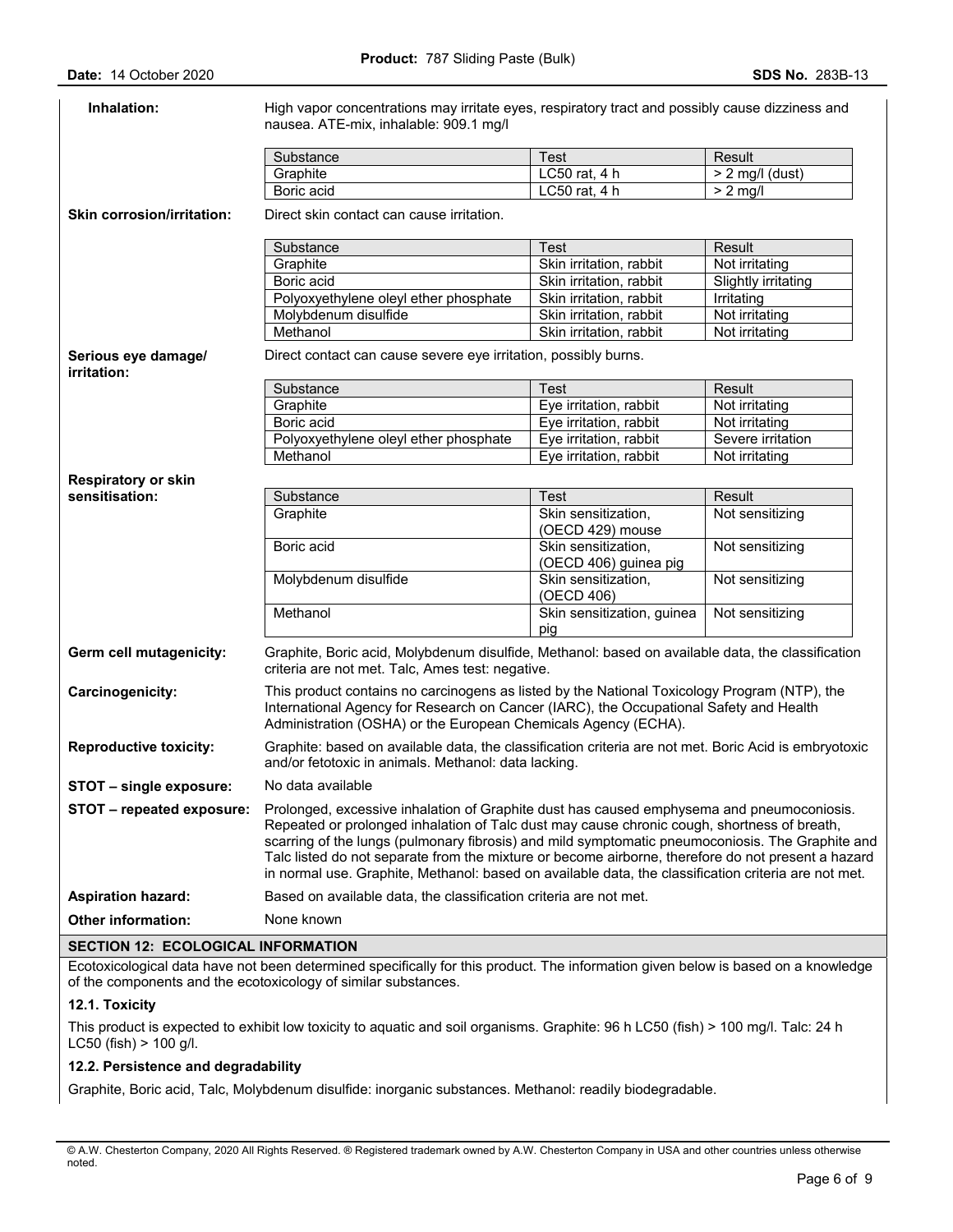| Inhalation:                               | High vapor concentrations may irritate eyes, respiratory tract and possibly cause dizziness and<br>nausea. ATE-mix, inhalable: 909.1 mg/l                                                                                                                                                                                                                                                                                                                                                                  |                                              |                             |  |  |
|-------------------------------------------|------------------------------------------------------------------------------------------------------------------------------------------------------------------------------------------------------------------------------------------------------------------------------------------------------------------------------------------------------------------------------------------------------------------------------------------------------------------------------------------------------------|----------------------------------------------|-----------------------------|--|--|
|                                           |                                                                                                                                                                                                                                                                                                                                                                                                                                                                                                            |                                              |                             |  |  |
|                                           | Substance<br>Graphite                                                                                                                                                                                                                                                                                                                                                                                                                                                                                      | <b>Test</b><br>LC50 rat, 4 h                 | Result<br>$> 2$ mg/l (dust) |  |  |
|                                           | Boric acid                                                                                                                                                                                                                                                                                                                                                                                                                                                                                                 | LC50 rat, 4 h                                | $> 2$ mg/l                  |  |  |
|                                           |                                                                                                                                                                                                                                                                                                                                                                                                                                                                                                            |                                              |                             |  |  |
| <b>Skin corrosion/irritation:</b>         | Direct skin contact can cause irritation.                                                                                                                                                                                                                                                                                                                                                                                                                                                                  |                                              |                             |  |  |
|                                           | Substance                                                                                                                                                                                                                                                                                                                                                                                                                                                                                                  | <b>Test</b>                                  | Result                      |  |  |
|                                           | Graphite                                                                                                                                                                                                                                                                                                                                                                                                                                                                                                   | Skin irritation, rabbit                      | Not irritating              |  |  |
|                                           | Boric acid                                                                                                                                                                                                                                                                                                                                                                                                                                                                                                 | Skin irritation, rabbit                      | Slightly irritating         |  |  |
|                                           | Polyoxyethylene oleyl ether phosphate                                                                                                                                                                                                                                                                                                                                                                                                                                                                      | Skin irritation, rabbit                      | Irritating                  |  |  |
|                                           | Molybdenum disulfide                                                                                                                                                                                                                                                                                                                                                                                                                                                                                       | Skin irritation, rabbit                      | Not irritating              |  |  |
|                                           | Methanol                                                                                                                                                                                                                                                                                                                                                                                                                                                                                                   | Skin irritation, rabbit                      | Not irritating              |  |  |
| Serious eye damage/<br>irritation:        | Direct contact can cause severe eye irritation, possibly burns.                                                                                                                                                                                                                                                                                                                                                                                                                                            |                                              |                             |  |  |
|                                           | Substance                                                                                                                                                                                                                                                                                                                                                                                                                                                                                                  | <b>Test</b>                                  | Result                      |  |  |
|                                           | Graphite                                                                                                                                                                                                                                                                                                                                                                                                                                                                                                   | Eye irritation, rabbit                       | Not irritating              |  |  |
|                                           | Boric acid                                                                                                                                                                                                                                                                                                                                                                                                                                                                                                 | Eye irritation, rabbit                       | Not irritating              |  |  |
|                                           | Polyoxyethylene oleyl ether phosphate                                                                                                                                                                                                                                                                                                                                                                                                                                                                      | Eye irritation, rabbit                       | Severe irritation           |  |  |
|                                           | Methanol                                                                                                                                                                                                                                                                                                                                                                                                                                                                                                   | Eye irritation, rabbit                       | Not irritating              |  |  |
| <b>Respiratory or skin</b>                |                                                                                                                                                                                                                                                                                                                                                                                                                                                                                                            |                                              |                             |  |  |
| sensitisation:                            | Substance                                                                                                                                                                                                                                                                                                                                                                                                                                                                                                  | Test                                         | <b>Result</b>               |  |  |
|                                           | Graphite                                                                                                                                                                                                                                                                                                                                                                                                                                                                                                   | Skin sensitization,<br>(OECD 429) mouse      | Not sensitizing             |  |  |
|                                           | Boric acid                                                                                                                                                                                                                                                                                                                                                                                                                                                                                                 | Skin sensitization,<br>(OECD 406) guinea pig | Not sensitizing             |  |  |
|                                           | Molybdenum disulfide                                                                                                                                                                                                                                                                                                                                                                                                                                                                                       | Skin sensitization,<br>(OECD 406)            | Not sensitizing             |  |  |
|                                           | Methanol                                                                                                                                                                                                                                                                                                                                                                                                                                                                                                   | Skin sensitization, guinea<br>pig            | Not sensitizing             |  |  |
| Germ cell mutagenicity:                   | Graphite, Boric acid, Molybdenum disulfide, Methanol: based on available data, the classification<br>criteria are not met. Talc, Ames test: negative.                                                                                                                                                                                                                                                                                                                                                      |                                              |                             |  |  |
| Carcinogenicity:                          | This product contains no carcinogens as listed by the National Toxicology Program (NTP), the<br>International Agency for Research on Cancer (IARC), the Occupational Safety and Health<br>Administration (OSHA) or the European Chemicals Agency (ECHA).                                                                                                                                                                                                                                                   |                                              |                             |  |  |
| <b>Reproductive toxicity:</b>             | Graphite: based on available data, the classification criteria are not met. Boric Acid is embryotoxic<br>and/or fetotoxic in animals. Methanol: data lacking.                                                                                                                                                                                                                                                                                                                                              |                                              |                             |  |  |
| STOT - single exposure:                   | No data available                                                                                                                                                                                                                                                                                                                                                                                                                                                                                          |                                              |                             |  |  |
| STOT - repeated exposure:                 | Prolonged, excessive inhalation of Graphite dust has caused emphysema and pneumoconiosis.<br>Repeated or prolonged inhalation of Talc dust may cause chronic cough, shortness of breath,<br>scarring of the lungs (pulmonary fibrosis) and mild symptomatic pneumoconiosis. The Graphite and<br>Talc listed do not separate from the mixture or become airborne, therefore do not present a hazard<br>in normal use. Graphite, Methanol: based on available data, the classification criteria are not met. |                                              |                             |  |  |
| <b>Aspiration hazard:</b>                 | Based on available data, the classification criteria are not met.                                                                                                                                                                                                                                                                                                                                                                                                                                          |                                              |                             |  |  |
| <b>Other information:</b>                 | None known                                                                                                                                                                                                                                                                                                                                                                                                                                                                                                 |                                              |                             |  |  |
| <b>SECTION 12: ECOLOGICAL INFORMATION</b> |                                                                                                                                                                                                                                                                                                                                                                                                                                                                                                            |                                              |                             |  |  |

Ecotoxicological data have not been determined specifically for this product. The information given below is based on a knowledge of the components and the ecotoxicology of similar substances.

# **12.1. Toxicity**

This product is expected to exhibit low toxicity to aquatic and soil organisms. Graphite: 96 h LC50 (fish) > 100 mg/l. Talc: 24 h LC50 (fish) > 100 g/l.

# **12.2. Persistence and degradability**

Graphite, Boric acid, Talc, Molybdenum disulfide: inorganic substances. Methanol: readily biodegradable.

<sup>©</sup> A.W. Chesterton Company, 2020 All Rights Reserved. ® Registered trademark owned by A.W. Chesterton Company in USA and other countries unless otherwise noted.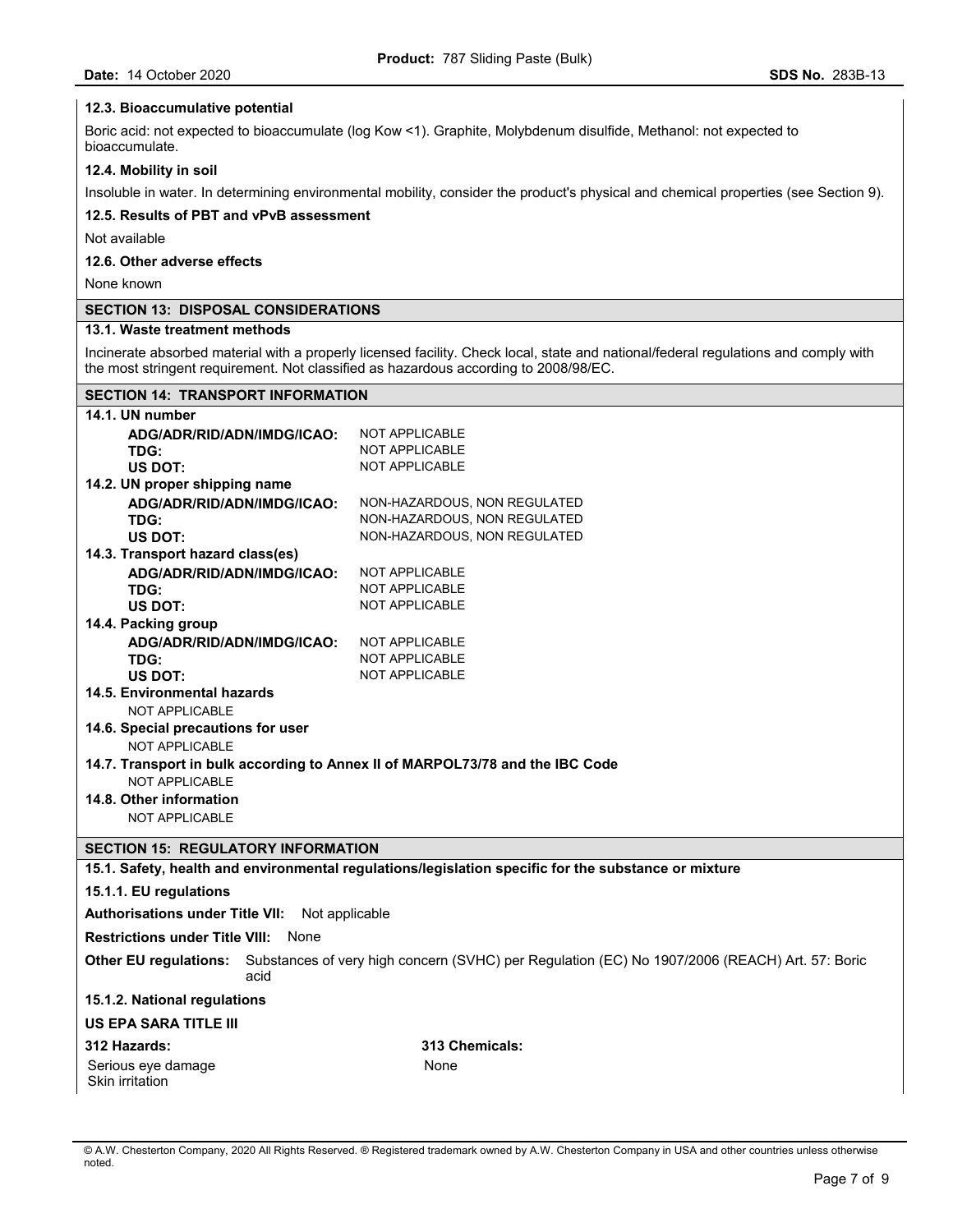# **12.3. Bioaccumulative potential**

Boric acid: not expected to bioaccumulate (log Kow <1). Graphite, Molybdenum disulfide, Methanol: not expected to bioaccumulate.

### **12.4. Mobility in soil**

Insoluble in water. In determining environmental mobility, consider the product's physical and chemical properties (see Section 9).

# **12.5. Results of PBT and vPvB assessment**

Not available

# **12.6. Other adverse effects**

None known

# **SECTION 13: DISPOSAL CONSIDERATIONS**

# **13.1. Waste treatment methods**

Incinerate absorbed material with a properly licensed facility. Check local, state and national/federal regulations and comply with the most stringent requirement. Not classified as hazardous according to 2008/98/EC.

# **SECTION 14: TRANSPORT INFORMATION**

| 14.1. UN number                                                                                                                        |                                                                                                      |  |  |  |
|----------------------------------------------------------------------------------------------------------------------------------------|------------------------------------------------------------------------------------------------------|--|--|--|
| ADG/ADR/RID/ADN/IMDG/ICAO:                                                                                                             | <b>NOT APPLICABLE</b>                                                                                |  |  |  |
| TDG:                                                                                                                                   | <b>NOT APPLICABLE</b>                                                                                |  |  |  |
| <b>US DOT:</b>                                                                                                                         | <b>NOT APPLICABLE</b>                                                                                |  |  |  |
| 14.2. UN proper shipping name                                                                                                          |                                                                                                      |  |  |  |
| ADG/ADR/RID/ADN/IMDG/ICAO:                                                                                                             | NON-HAZARDOUS, NON REGULATED                                                                         |  |  |  |
| TDG:                                                                                                                                   | NON-HAZARDOUS, NON REGULATED                                                                         |  |  |  |
| US DOT:                                                                                                                                | NON-HAZARDOUS, NON REGULATED                                                                         |  |  |  |
| 14.3. Transport hazard class(es)                                                                                                       |                                                                                                      |  |  |  |
| ADG/ADR/RID/ADN/IMDG/ICAO:                                                                                                             | <b>NOT APPLICABLE</b>                                                                                |  |  |  |
| TDG:                                                                                                                                   | <b>NOT APPLICABLE</b>                                                                                |  |  |  |
| <b>US DOT:</b>                                                                                                                         | <b>NOT APPLICABLE</b>                                                                                |  |  |  |
| 14.4. Packing group                                                                                                                    |                                                                                                      |  |  |  |
| ADG/ADR/RID/ADN/IMDG/ICAO:                                                                                                             | NOT APPLICABLE                                                                                       |  |  |  |
| TDG:                                                                                                                                   | <b>NOT APPLICABLE</b>                                                                                |  |  |  |
| US DOT:                                                                                                                                | <b>NOT APPLICABLE</b>                                                                                |  |  |  |
| 14.5. Environmental hazards<br><b>NOT APPLICABLE</b>                                                                                   |                                                                                                      |  |  |  |
| 14.6. Special precautions for user                                                                                                     |                                                                                                      |  |  |  |
| <b>NOT APPLICABLE</b>                                                                                                                  |                                                                                                      |  |  |  |
|                                                                                                                                        | 14.7. Transport in bulk according to Annex II of MARPOL73/78 and the IBC Code                        |  |  |  |
| <b>NOT APPLICABLE</b>                                                                                                                  |                                                                                                      |  |  |  |
| 14.8. Other information                                                                                                                |                                                                                                      |  |  |  |
| <b>NOT APPLICABLE</b>                                                                                                                  |                                                                                                      |  |  |  |
|                                                                                                                                        |                                                                                                      |  |  |  |
| <b>SECTION 15: REGULATORY INFORMATION</b>                                                                                              |                                                                                                      |  |  |  |
|                                                                                                                                        | 15.1. Safety, health and environmental regulations/legislation specific for the substance or mixture |  |  |  |
| 15.1.1. EU regulations                                                                                                                 |                                                                                                      |  |  |  |
| Authorisations under Title VII: Not applicable                                                                                         |                                                                                                      |  |  |  |
| <b>Restrictions under Title VIII: None</b>                                                                                             |                                                                                                      |  |  |  |
| Substances of very high concern (SVHC) per Regulation (EC) No 1907/2006 (REACH) Art. 57: Boric<br><b>Other EU regulations:</b><br>acid |                                                                                                      |  |  |  |
| 15.1.2. National regulations                                                                                                           |                                                                                                      |  |  |  |
| <b>US EPA SARA TITLE III</b>                                                                                                           |                                                                                                      |  |  |  |
| 312 Hazards:                                                                                                                           | 313 Chemicals:                                                                                       |  |  |  |
| Serious eye damage                                                                                                                     | None                                                                                                 |  |  |  |
| Skin irritation                                                                                                                        |                                                                                                      |  |  |  |
|                                                                                                                                        |                                                                                                      |  |  |  |

<sup>©</sup> A.W. Chesterton Company, 2020 All Rights Reserved. ® Registered trademark owned by A.W. Chesterton Company in USA and other countries unless otherwise noted.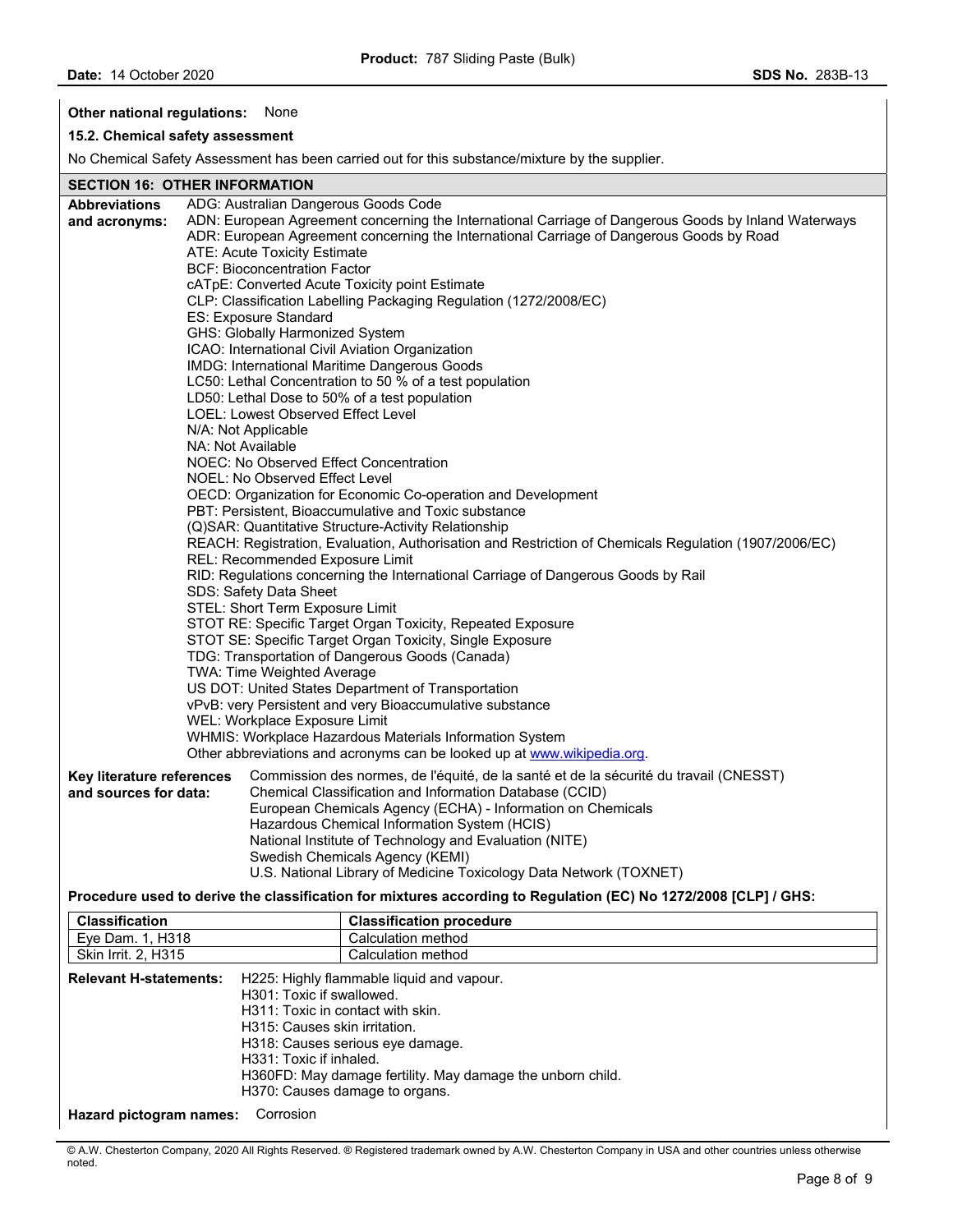**Other national regulations:** None

# **15.2. Chemical safety assessment**

No Chemical Safety Assessment has been carried out for this substance/mixture by the supplier.

# **SECTION 16: OTHER INFORMATION**

| SECTION 16: UTHER INFORMATION |                                                                                   |                                                                                                                 |  |  |  |  |
|-------------------------------|-----------------------------------------------------------------------------------|-----------------------------------------------------------------------------------------------------------------|--|--|--|--|
| <b>Abbreviations</b>          |                                                                                   | ADG: Australian Dangerous Goods Code                                                                            |  |  |  |  |
| and acronyms:                 |                                                                                   | ADN: European Agreement concerning the International Carriage of Dangerous Goods by Inland Waterways            |  |  |  |  |
|                               |                                                                                   | ADR: European Agreement concerning the International Carriage of Dangerous Goods by Road                        |  |  |  |  |
|                               |                                                                                   | <b>ATE: Acute Toxicity Estimate</b>                                                                             |  |  |  |  |
|                               |                                                                                   | <b>BCF: Bioconcentration Factor</b>                                                                             |  |  |  |  |
|                               |                                                                                   | cATpE: Converted Acute Toxicity point Estimate                                                                  |  |  |  |  |
|                               |                                                                                   | CLP: Classification Labelling Packaging Regulation (1272/2008/EC)                                               |  |  |  |  |
|                               | ES: Exposure Standard                                                             |                                                                                                                 |  |  |  |  |
|                               |                                                                                   | GHS: Globally Harmonized System                                                                                 |  |  |  |  |
|                               |                                                                                   | ICAO: International Civil Aviation Organization                                                                 |  |  |  |  |
|                               |                                                                                   | IMDG: International Maritime Dangerous Goods                                                                    |  |  |  |  |
|                               |                                                                                   | LC50: Lethal Concentration to 50 % of a test population                                                         |  |  |  |  |
|                               |                                                                                   | LD50: Lethal Dose to 50% of a test population                                                                   |  |  |  |  |
|                               |                                                                                   | LOEL: Lowest Observed Effect Level                                                                              |  |  |  |  |
|                               | N/A: Not Applicable                                                               |                                                                                                                 |  |  |  |  |
|                               | NA: Not Available                                                                 |                                                                                                                 |  |  |  |  |
|                               |                                                                                   | NOEC: No Observed Effect Concentration                                                                          |  |  |  |  |
|                               |                                                                                   | NOEL: No Observed Effect Level                                                                                  |  |  |  |  |
|                               |                                                                                   | OECD: Organization for Economic Co-operation and Development                                                    |  |  |  |  |
|                               |                                                                                   | PBT: Persistent, Bioaccumulative and Toxic substance                                                            |  |  |  |  |
|                               |                                                                                   | (Q)SAR: Quantitative Structure-Activity Relationship                                                            |  |  |  |  |
|                               |                                                                                   | REACH: Registration, Evaluation, Authorisation and Restriction of Chemicals Regulation (1907/2006/EC)           |  |  |  |  |
|                               |                                                                                   | REL: Recommended Exposure Limit                                                                                 |  |  |  |  |
|                               | RID: Regulations concerning the International Carriage of Dangerous Goods by Rail |                                                                                                                 |  |  |  |  |
|                               | SDS: Safety Data Sheet                                                            |                                                                                                                 |  |  |  |  |
|                               |                                                                                   | STEL: Short Term Exposure Limit                                                                                 |  |  |  |  |
|                               |                                                                                   | STOT RE: Specific Target Organ Toxicity, Repeated Exposure                                                      |  |  |  |  |
|                               |                                                                                   | STOT SE: Specific Target Organ Toxicity, Single Exposure                                                        |  |  |  |  |
|                               |                                                                                   | TDG: Transportation of Dangerous Goods (Canada)                                                                 |  |  |  |  |
|                               |                                                                                   | TWA: Time Weighted Average                                                                                      |  |  |  |  |
|                               |                                                                                   | US DOT: United States Department of Transportation                                                              |  |  |  |  |
|                               |                                                                                   | vPvB: very Persistent and very Bioaccumulative substance                                                        |  |  |  |  |
|                               |                                                                                   | WEL: Workplace Exposure Limit                                                                                   |  |  |  |  |
|                               |                                                                                   | WHMIS: Workplace Hazardous Materials Information System                                                         |  |  |  |  |
|                               |                                                                                   | Other abbreviations and acronyms can be looked up at www.wikipedia.org.                                         |  |  |  |  |
| Key literature references     |                                                                                   | Commission des normes, de l'équité, de la santé et de la sécurité du travail (CNESST)                           |  |  |  |  |
| and sources for data:         |                                                                                   | Chemical Classification and Information Database (CCID)                                                         |  |  |  |  |
|                               |                                                                                   | European Chemicals Agency (ECHA) - Information on Chemicals                                                     |  |  |  |  |
|                               |                                                                                   | Hazardous Chemical Information System (HCIS)                                                                    |  |  |  |  |
|                               |                                                                                   | National Institute of Technology and Evaluation (NITE)                                                          |  |  |  |  |
|                               |                                                                                   | Swedish Chemicals Agency (KEMI)                                                                                 |  |  |  |  |
|                               |                                                                                   | U.S. National Library of Medicine Toxicology Data Network (TOXNET)                                              |  |  |  |  |
|                               |                                                                                   | Procedure used to derive the classification for mixtures according to Regulation (EC) No 1272/2008 [CLP] / GHS: |  |  |  |  |
| <b>Classification</b>         |                                                                                   | <b>Classification procedure</b>                                                                                 |  |  |  |  |
| <b>Eve Dam 1 H318</b>         |                                                                                   | Calculation method                                                                                              |  |  |  |  |

| Eye Dam. 1, H318                     |                                                                                                                                                                                                                                                                                                             | Calculation method |
|--------------------------------------|-------------------------------------------------------------------------------------------------------------------------------------------------------------------------------------------------------------------------------------------------------------------------------------------------------------|--------------------|
| Skin Irrit. 2, H315                  |                                                                                                                                                                                                                                                                                                             | Calculation method |
| <b>Relevant H-statements:</b>        | H225: Highly flammable liquid and vapour.<br>H301: Toxic if swallowed.<br>H311: Toxic in contact with skin.<br>H315: Causes skin irritation.<br>H318: Causes serious eye damage.<br>H331: Toxic if inhaled.<br>H360FD: May damage fertility. May damage the unborn child.<br>H370: Causes damage to organs. |                    |
| Corrosion<br>Hazard pictogram names: |                                                                                                                                                                                                                                                                                                             |                    |